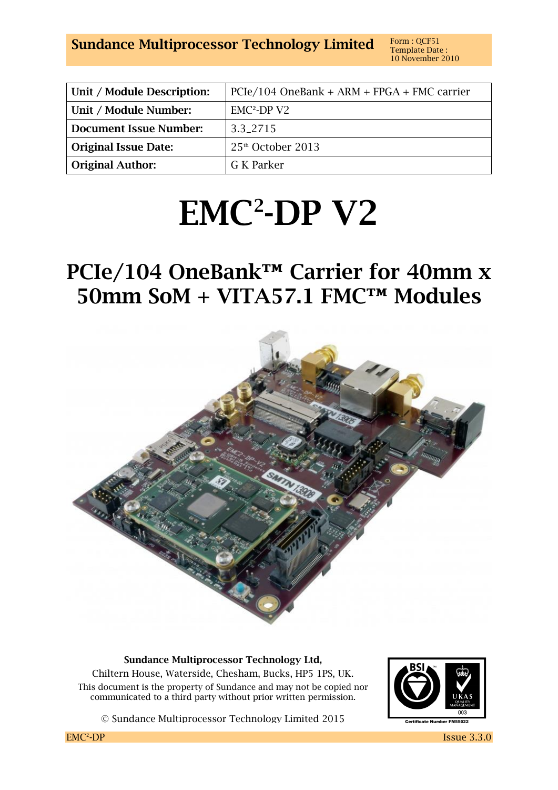**Sundance Multiprocessor Technology Limited** Form: QCF51

| Unit / Module Description:    | $PCIe/104$ OneBank + ARM + FPGA + FMC carrier |
|-------------------------------|-----------------------------------------------|
| Unit / Module Number:         | $EMC2-DPV2$                                   |
| <b>Document Issue Number:</b> | 3.3.2715                                      |
| <b>Original Issue Date:</b>   | $25th$ October 2013                           |
| <b>Original Author:</b>       | G K Parker                                    |

# **EMC<sup>2</sup> -DP V2**

# **PCIe/104 OneBank™ Carrier for 40mm x 50mm SoM + VITA57.1 FMC™ Modules**



**Sundance Multiprocessor Technology Ltd,** 

Chiltern House, Waterside, Chesham, Bucks, HP5 1PS, UK. This document is the property of Sundance and may not be copied nor communicated to a third party without prior written permission.





 $EMC<sup>2</sup>-DP$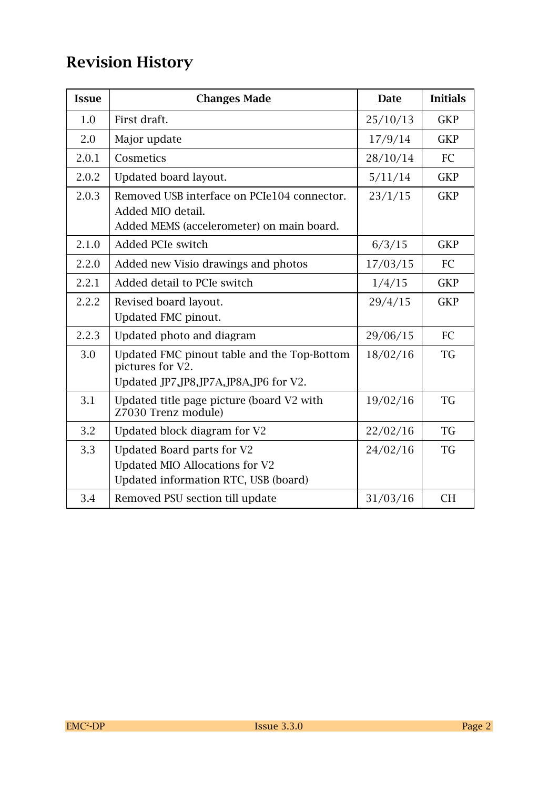# **Revision History**

| <b>Issue</b> | <b>Changes Made</b>                                                                                           | <b>Date</b> | <b>Initials</b> |
|--------------|---------------------------------------------------------------------------------------------------------------|-------------|-----------------|
| 1.0          | First draft.                                                                                                  | 25/10/13    | <b>GKP</b>      |
| 2.0          | Major update                                                                                                  | 17/9/14     | <b>GKP</b>      |
| 2.0.1        | Cosmetics                                                                                                     | 28/10/14    | FC              |
| 2.0.2        | Updated board layout.                                                                                         | 5/11/14     | <b>GKP</b>      |
| 2.0.3        | Removed USB interface on PCIe104 connector.<br>Added MIO detail.<br>Added MEMS (accelerometer) on main board. | 23/1/15     | <b>GKP</b>      |
| 2.1.0        | <b>Added PCIe switch</b>                                                                                      | 6/3/15      | <b>GKP</b>      |
| 2.2.0        | Added new Visio drawings and photos                                                                           | 17/03/15    | FC              |
| 2.2.1        | Added detail to PCIe switch                                                                                   | 1/4/15      | <b>GKP</b>      |
| 2.2.2        | Revised board layout.<br>Updated FMC pinout.                                                                  | 29/4/15     | <b>GKP</b>      |
| 2.2.3        | Updated photo and diagram                                                                                     | 29/06/15    | FC              |
| 3.0          | Updated FMC pinout table and the Top-Bottom<br>pictures for V2.<br>Updated JP7, JP8, JP7A, JP8A, JP6 for V2.  | 18/02/16    | TG              |
| 3.1          | Updated title page picture (board V2 with<br>Z7030 Trenz module)                                              | 19/02/16    | <b>TG</b>       |
| 3.2          | Updated block diagram for V2                                                                                  | 22/02/16    | <b>TG</b>       |
| 3.3          | Updated Board parts for V2<br>Updated MIO Allocations for V2<br>Updated information RTC, USB (board)          | 24/02/16    | <b>TG</b>       |
| 3.4          | Removed PSU section till update                                                                               | 31/03/16    | <b>CH</b>       |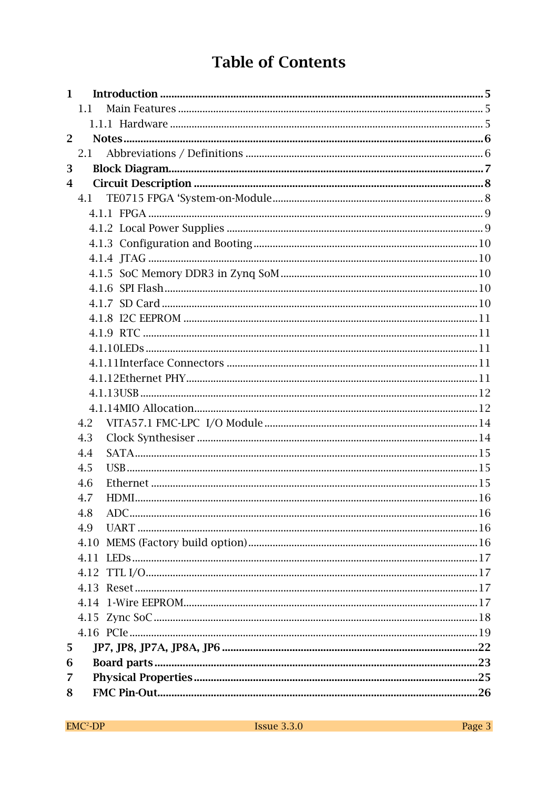# **Table of Contents**

| 1              |     |  |
|----------------|-----|--|
|                | 1.1 |  |
|                |     |  |
| $\overline{2}$ |     |  |
|                | 2.1 |  |
| 3              |     |  |
| 4              |     |  |
|                | 4.1 |  |
|                |     |  |
|                |     |  |
|                |     |  |
|                |     |  |
|                |     |  |
|                |     |  |
|                |     |  |
|                |     |  |
|                |     |  |
|                |     |  |
|                |     |  |
|                |     |  |
|                |     |  |
|                |     |  |
|                | 4.2 |  |
|                | 4.3 |  |
|                | 4.4 |  |
|                | 4.5 |  |
|                | 4.6 |  |
|                | 4.7 |  |
|                | 4.8 |  |
|                | 4.9 |  |
|                |     |  |
|                |     |  |
|                |     |  |
|                |     |  |
|                |     |  |
|                |     |  |
|                |     |  |
| 5              |     |  |
| 6              |     |  |
| 7              |     |  |
| 8              |     |  |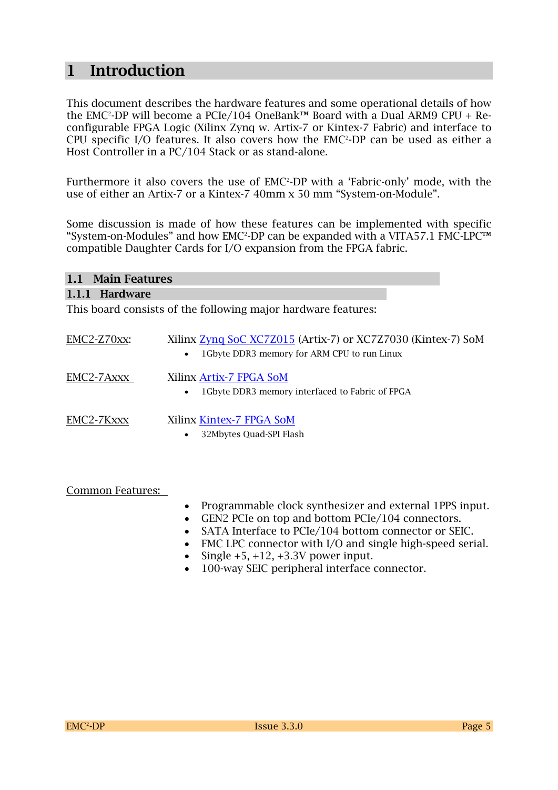### **1 Introduction**

This document describes the hardware features and some operational details of how the EMC<del>'</del>-DP will become a PCIe/104 OneBank™ Board with a Dual ARM9 CPU + Reconfigurable FPGA Logic (Xilinx Zynq w. Artix-7 or Kintex-7 Fabric) and interface to CPU specific I/O features. It also covers how the EMC<sup>2</sup>-DP can be used as either a Host Controller in a PC/104 Stack or as stand-alone.

Furthermore it also covers the use of EMC<sup>2</sup>-DP with a 'Fabric-only' mode, with the use of either an Artix-7 or a Kintex-7 40mm x 50 mm "System-on-Module".

Some discussion is made of how these features can be implemented with specific "System-on-Modules" and how EMC<sup>2</sup>-DP can be expanded with a VITA57.1 FMC-LPC™ compatible Daughter Cards for I/O expansion from the FPGA fabric.

| 1.1 Main Features |                                                                                                                           |  |
|-------------------|---------------------------------------------------------------------------------------------------------------------------|--|
| 1.1.1 Hardware    |                                                                                                                           |  |
|                   | This board consists of the following major hardware features:                                                             |  |
| $EMC2-Z70xx$      | Xilinx Zynq SoC XC7Z015 (Artix-7) or XC7Z7030 (Kintex-7) SoM<br>1 Gbyte DDR3 memory for ARM CPU to run Linux<br>$\bullet$ |  |
| EMC2-7Axxx        | Xilinx Artix-7 FPGA SoM<br>1 Gbyte DDR3 memory interfaced to Fabric of FPGA<br>$\bullet$                                  |  |
| EMC2-7Kxxx        | Xilinx Kintex-7 FPGA SoM<br>32Mbytes Quad-SPI Flash<br>$\bullet$                                                          |  |

Common Features:

- Programmable clock synthesizer and external 1PPS input.
- GEN2 PCIe on top and bottom PCIe/104 connectors.
- SATA Interface to PCIe/104 bottom connector or SEIC.
- FMC LPC connector with I/O and single high-speed serial.
- Single  $+5$ ,  $+12$ ,  $+3.3V$  power input.
- 100-way SEIC peripheral interface connector.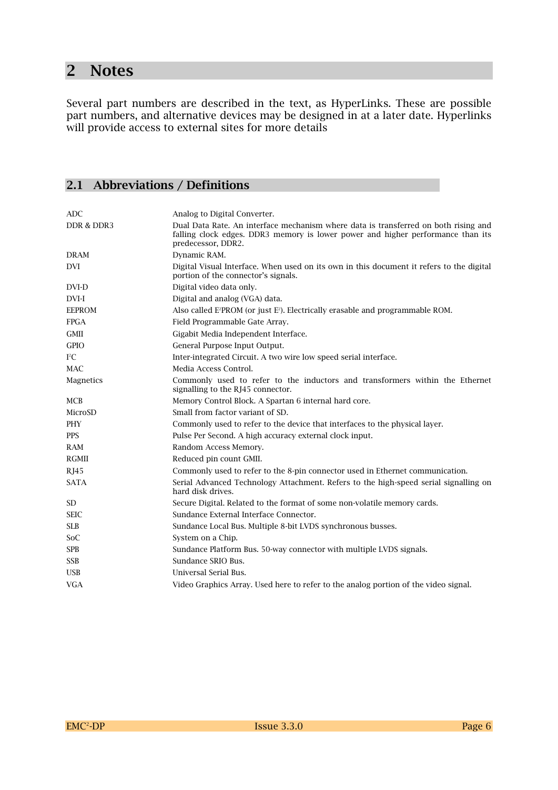# **2 Notes**

Several part numbers are described in the text, as HyperLinks. These are possible part numbers, and alternative devices may be designed in at a later date. Hyperlinks will provide access to external sites for more details

#### **2.1 Abbreviations / Definitions**

| <b>ADC</b>            | Analog to Digital Converter.                                                                                                                                                                 |
|-----------------------|----------------------------------------------------------------------------------------------------------------------------------------------------------------------------------------------|
| <b>DDR &amp; DDR3</b> | Dual Data Rate. An interface mechanism where data is transferred on both rising and<br>falling clock edges. DDR3 memory is lower power and higher performance than its<br>predecessor, DDR2. |
| <b>DRAM</b>           | Dynamic RAM.                                                                                                                                                                                 |
| <b>DVI</b>            | Digital Visual Interface. When used on its own in this document it refers to the digital<br>portion of the connector's signals.                                                              |
| DVI-D                 | Digital video data only.                                                                                                                                                                     |
| DVI-I                 | Digital and analog (VGA) data.                                                                                                                                                               |
| <b>EEPROM</b>         | Also called E <sup>2</sup> PROM (or just E <sup>2</sup> ). Electrically erasable and programmable ROM.                                                                                       |
| <b>FPGA</b>           | Field Programmable Gate Array.                                                                                                                                                               |
| <b>GMII</b>           | Gigabit Media Independent Interface.                                                                                                                                                         |
| <b>GPIO</b>           | General Purpose Input Output.                                                                                                                                                                |
| $I^2C$                | Inter-integrated Circuit. A two wire low speed serial interface.                                                                                                                             |
| <b>MAC</b>            | Media Access Control.                                                                                                                                                                        |
| Magnetics             | Commonly used to refer to the inductors and transformers within the Ethernet<br>signalling to the RJ45 connector.                                                                            |
| <b>MCB</b>            | Memory Control Block. A Spartan 6 internal hard core.                                                                                                                                        |
| MicroSD               | Small from factor variant of SD.                                                                                                                                                             |
| PHY                   | Commonly used to refer to the device that interfaces to the physical layer.                                                                                                                  |
| <b>PPS</b>            | Pulse Per Second. A high accuracy external clock input.                                                                                                                                      |
| <b>RAM</b>            | Random Access Memory.                                                                                                                                                                        |
| <b>RGMII</b>          | Reduced pin count GMII.                                                                                                                                                                      |
| RJ45                  | Commonly used to refer to the 8-pin connector used in Ethernet communication.                                                                                                                |
| <b>SATA</b>           | Serial Advanced Technology Attachment. Refers to the high-speed serial signalling on<br>hard disk drives.                                                                                    |
| SD <sub></sub>        | Secure Digital. Related to the format of some non-volatile memory cards.                                                                                                                     |
| <b>SEIC</b>           | Sundance External Interface Connector.                                                                                                                                                       |
| <b>SLB</b>            | Sundance Local Bus. Multiple 8-bit LVDS synchronous busses.                                                                                                                                  |
| SoC                   | System on a Chip.                                                                                                                                                                            |
| <b>SPB</b>            | Sundance Platform Bus. 50-way connector with multiple LVDS signals.                                                                                                                          |
| <b>SSB</b>            | Sundance SRIO Bus.                                                                                                                                                                           |
| <b>USB</b>            | Universal Serial Bus.                                                                                                                                                                        |
| <b>VGA</b>            | Video Graphics Array. Used here to refer to the analog portion of the video signal.                                                                                                          |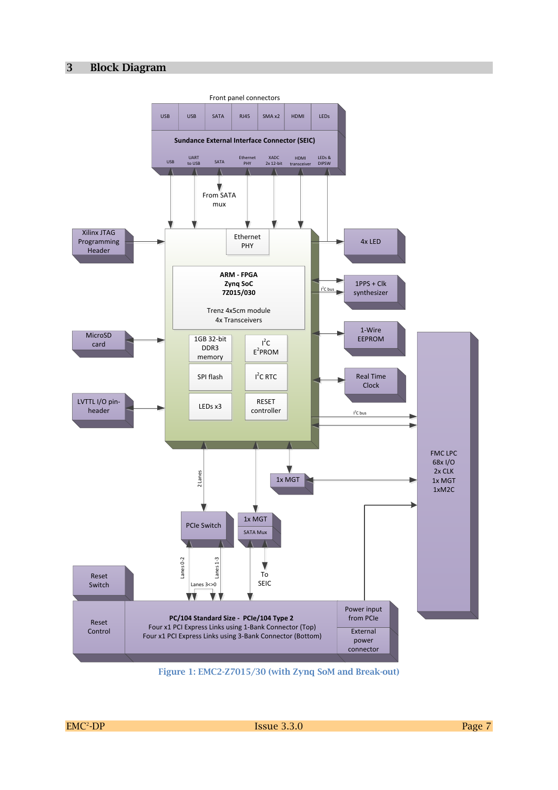#### **3 Block Diagram**



**Figure 1: EMC2-Z7015/30 (with Zynq SoM and Break-out)**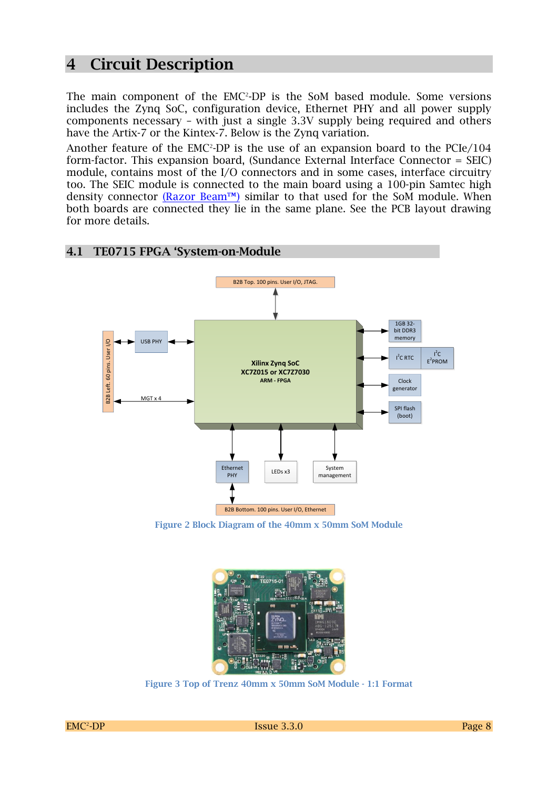### **4 Circuit Description**

The main component of the EMC<sup>2</sup>-DP is the SoM based module. Some versions includes the Zynq SoC, configuration device, Ethernet PHY and all power supply components necessary – with just a single 3.3V supply being required and others have the Artix-7 or the Kintex-7. Below is the Zynq variation.

Another feature of the EMC<sup>2</sup>-DP is the use of an expansion board to the PCIe/104  $\,$ form-factor. This expansion board, (Sundance External Interface Connector = SEIC) module, contains most of the I/O connectors and in some cases, interface circuitry too. The SEIC module is connected to the main board using a 100-pin Samtec high density connector  $(Razor Beam<sup>TM</sup>)$  similar to that used for the SoM module. When both boards are connected they lie in the same plane. See the PCB layout drawing for more details.



**Figure 2 Block Diagram of the 40mm x 50mm SoM Module**



**Figure 3 Top of Trenz 40mm x 50mm SoM Module - 1:1 Format**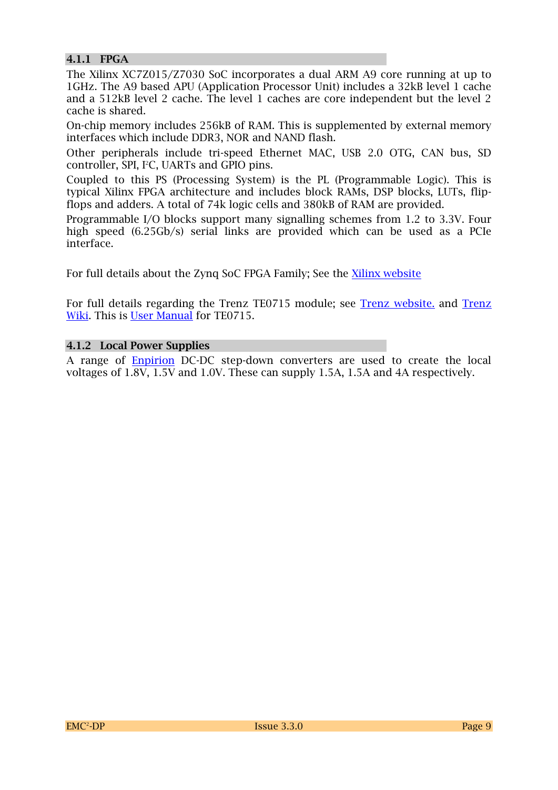#### **4.1.1 FPGA**

The Xilinx XC7Z015/Z7030 SoC incorporates a dual ARM A9 core running at up to 1GHz. The A9 based APU (Application Processor Unit) includes a 32kB level 1 cache and a 512kB level 2 cache. The level 1 caches are core independent but the level 2 cache is shared.

On-chip memory includes 256kB of RAM. This is supplemented by external memory interfaces which include DDR3, NOR and NAND flash.

Other peripherals include tri-speed Ethernet MAC, USB 2.0 OTG, CAN bus, SD controller, SPI, I<sup>2</sup>C, UARTs and GPIO pins.

Coupled to this PS (Processing System) is the PL (Programmable Logic). This is typical Xilinx FPGA architecture and includes block RAMs, DSP blocks, LUTs, flipflops and adders. A total of 74k logic cells and 380kB of RAM are provided.

Programmable I/O blocks support many signalling schemes from 1.2 to 3.3V. Four high speed (6.25Gb/s) serial links are provided which can be used as a PCIe interface.

For full details about the Zynq SoC FPGA Family; See the [Xilinx website](http://www.xilinx.com/products/silicon-devices/soc/zynq-7000/silicon-devices/index.htm)

For full details regarding the Trenz TE0715 module; see Trenz [website.](http://www.trenz-electronic.de/products/fpga-boards/trenz-electronic/te0715.html) and [Trenz](https://wiki.trenz-electronic.de/display/PD/Trenz+Electronic+Documentation)  [Wiki.](https://wiki.trenz-electronic.de/display/PD/Trenz+Electronic+Documentation) This is [User Manual](https://wiki.trenz-electronic.de/display/TE0715/TE0715) for TE0715.

#### **4.1.2 Local Power Supplies**

A range of [Enpirion](http://www.altera.co.uk/devices/power/power-index.html) DC-DC step-down converters are used to create the local voltages of 1.8V, 1.5V and 1.0V. These can supply 1.5A, 1.5A and 4A respectively.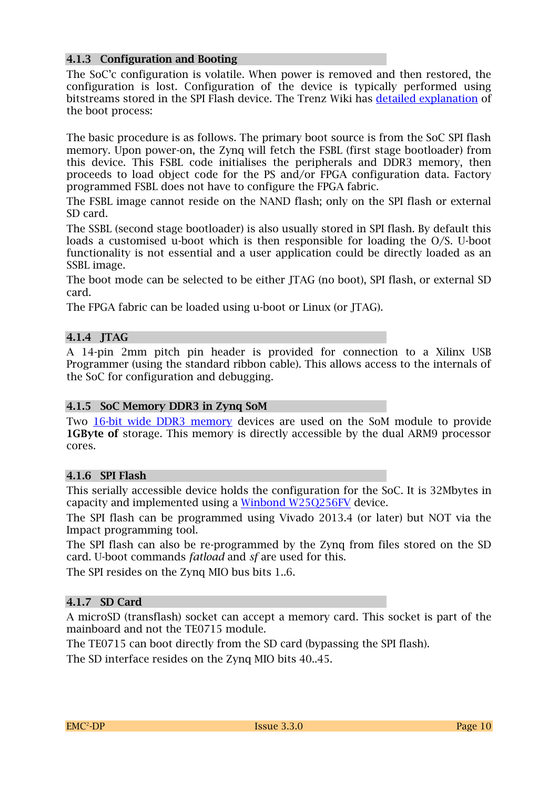#### **4.1.3 Configuration and Booting**

The SoC'c configuration is volatile. When power is removed and then restored, the configuration is lost. Configuration of the device is typically performed using bitstreams stored in the SPI Flash device. The Trenz Wiki has [detailed explanation](https://wiki.trenz-electronic.de/display/TE0720/Getting+Started) of the boot process:

The basic procedure is as follows. The primary boot source is from the SoC SPI flash memory. Upon power-on, the Zynq will fetch the FSBL (first stage bootloader) from this device. This FSBL code initialises the peripherals and DDR3 memory, then proceeds to load object code for the PS and/or FPGA configuration data. Factory programmed FSBL does not have to configure the FPGA fabric.

The FSBL image cannot reside on the NAND flash; only on the SPI flash or external SD card.

The SSBL (second stage bootloader) is also usually stored in SPI flash. By default this loads a customised u-boot which is then responsible for loading the O/S. U-boot functionality is not essential and a user application could be directly loaded as an SSBL image.

The boot mode can be selected to be either JTAG (no boot), SPI flash, or external SD card.

The FPGA fabric can be loaded using u-boot or Linux (or JTAG).

#### **4.1.4 JTAG**

A 14-pin 2mm pitch pin header is provided for connection to a Xilinx USB Programmer (using the standard ribbon cable). This allows access to the internals of the SoC for configuration and debugging.

#### **4.1.5 SoC Memory DDR3 in Zynq SoM**

Two [16-bit wide DDR3 memory](http://www.memphis.ag/fileadmin/datasheets/MEM4G16D3EABG_10.pdf) devices are used on the SoM module to provide **1GByte of** storage. This memory is directly accessible by the dual ARM9 processor cores.

#### **4.1.6 SPI Flash**

This serially accessible device holds the configuration for the SoC. It is 32Mbytes in capacity and implemented using a [Winbond W25Q256FV](https://www.winbond.com/hq/enu/ProductAndSales/Applications/InformationElectronics/WLANandWimax/SerialFlash/) device.

The SPI flash can be programmed using Vivado 2013.4 (or later) but NOT via the Impact programming tool.

The SPI flash can also be re-programmed by the Zynq from files stored on the SD card. U-boot commands *fatload* and *sf* are used for this.

The SPI resides on the Zynq MIO bus bits 1..6.

#### **4.1.7 SD Card**

A microSD (transflash) socket can accept a memory card. This socket is part of the mainboard and not the TE0715 module.

The TE0715 can boot directly from the SD card (bypassing the SPI flash).

The SD interface resides on the Zynq MIO bits 40..45.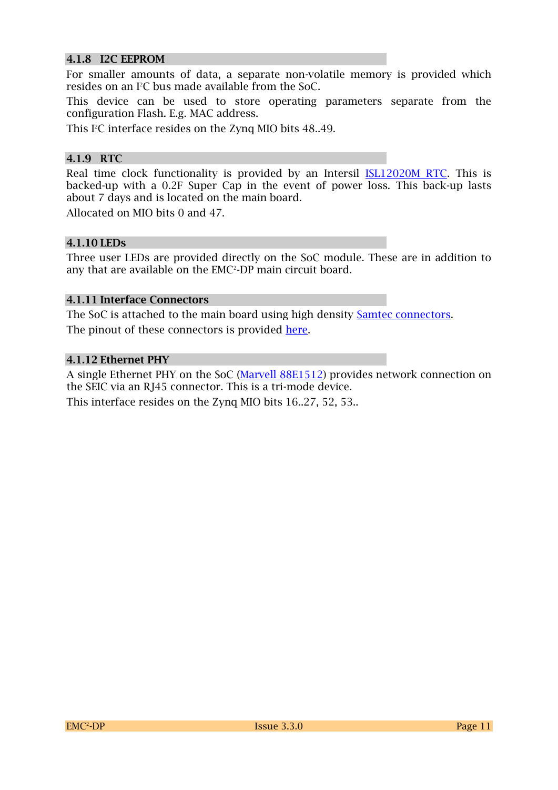#### **4.1.8 I2C EEPROM**

For smaller amounts of data, a separate non-volatile memory is provided which resides on an I2C bus made available from the SoC.

This device can be used to store operating parameters separate from the configuration Flash. E.g. MAC address.

This I<sup>2</sup>C interface resides on the Zynq MIO bits 48..49.

#### **4.1.9 RTC**

Real time clock functionality is provided by an Intersil **ISL12020M RTC**. This is backed-up with a 0.2F Super Cap in the event of power loss. This back-up lasts about 7 days and is located on the main board.

Allocated on MIO bits 0 and 47.

#### **4.1.10 LEDs**

Three user LEDs are provided directly on the SoC module. These are in addition to any that are available on the EMC<sup>2</sup>-DP main circuit board.

#### **4.1.11 Interface Connectors**

The SoC is attached to the main board using high density [Samtec connectors.](http://www.samtec.com/technical-specifications/Default.aspx?SeriesMaster=LSHM) The pinout of these connectors is provided [here.](https://wiki.trenz-electronic.de/display/TE0720/Pinout)

#### **4.1.12 Ethernet PHY**

A single Ethernet PHY on the SoC [\(Marvell 88E1512\)](http://www.marvell.com/transceivers/alaska-gbe/) provides network connection on the SEIC via an RJ45 connector. This is a tri-mode device.

This interface resides on the Zynq MIO bits 16..27, 52, 53..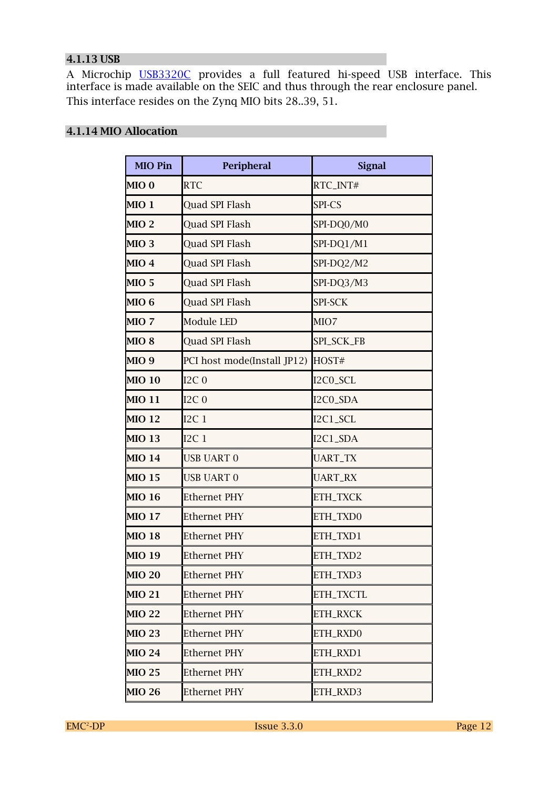#### **4.1.13 USB**

A Microchip <u>[USB3320C](http://www.microchip.com/wwwproducts/Devices.aspx?product=USB3320)</u> provides a full featured hi-speed USB interface. This interface is made available on the SEIC and thus through the rear enclosure panel. This interface resides on the Zynq MIO bits 28..39, 51.

#### **4.1.14 MIO Allocation**

| <b>MIO Pin</b>   | Peripheral                  | <b>Signal</b>  |
|------------------|-----------------------------|----------------|
| MIO <sub>0</sub> | <b>RTC</b>                  | RTC_INT#       |
| MIO 1            | <b>Ouad SPI Flash</b>       | SPI-CS         |
| MIO <sub>2</sub> | Quad SPI Flash              | SPI-DQ0/M0     |
| MIO <sub>3</sub> | Quad SPI Flash              | SPI-DQ1/M1     |
| MIO <sub>4</sub> | Quad SPI Flash              | SPI-DQ2/M2     |
| MIO <sub>5</sub> | Quad SPI Flash              | SPI-DQ3/M3     |
| MIO <sub>6</sub> | Quad SPI Flash              | SPI-SCK        |
| MIO 7            | Module LED                  | MIO7           |
| MIO <sub>8</sub> | Quad SPI Flash              | SPI_SCK_FB     |
| MIO <sub>9</sub> | PCI host mode(Install JP12) | HOST#          |
| <b>MIO 10</b>    | $I2C_0$                     | I2C0_SCL       |
| <b>MIO 11</b>    | $I2C_0$                     | I2C0_SDA       |
| <b>MIO 12</b>    | I2C1                        | I2C1_SCL       |
| <b>MIO 13</b>    | I2C1                        | I2C1_SDA       |
| <b>MIO 14</b>    | USB UART 0                  | <b>UART_TX</b> |
| <b>MIO 15</b>    | USB UART 0                  | <b>UART_RX</b> |
| <b>MIO 16</b>    | <b>Ethernet PHY</b>         | ETH_TXCK       |
| <b>MIO 17</b>    | Ethernet PHY                | ETH_TXD0       |
| <b>MIO 18</b>    | Ethernet PHY                | ETH_TXD1       |
| <b>MIO 19</b>    | <b>Ethernet PHY</b>         | ETH_TXD2       |
| <b>MIO 20</b>    | <b>Ethernet PHY</b>         | ETH_TXD3       |
| <b>MIO 21</b>    | Ethernet PHY                | ETH_TXCTL      |
| <b>MIO 22</b>    | Ethernet PHY                | ETH_RXCK       |
| <b>MIO 23</b>    | Ethernet PHY                | ETH_RXD0       |
| <b>MIO 24</b>    | Ethernet PHY                | ETH_RXD1       |
| <b>MIO 25</b>    | Ethernet PHY                | ETH_RXD2       |
| <b>MIO 26</b>    | Ethernet PHY                | ETH_RXD3       |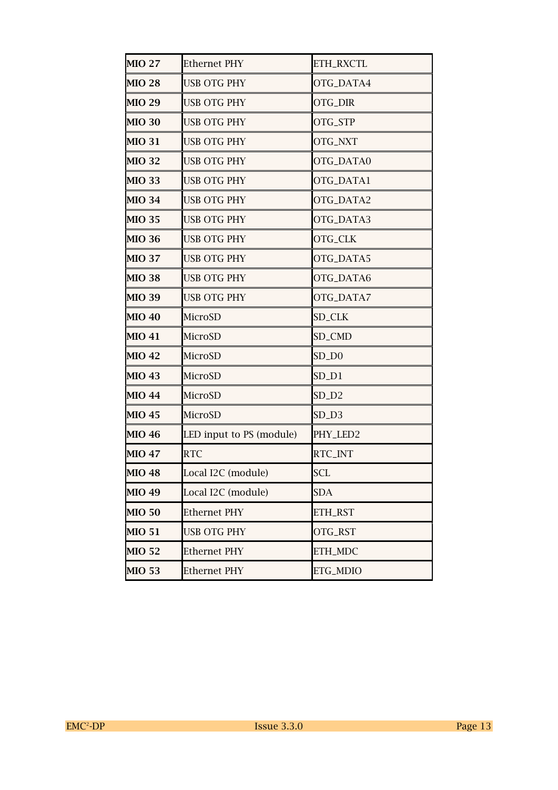| <b>MIO 27</b> | <b>Ethernet PHY</b>      | ETH_RXCTL      |
|---------------|--------------------------|----------------|
| <b>MIO 28</b> | <b>USB OTG PHY</b>       | OTG_DATA4      |
| <b>MIO 29</b> | <b>USB OTG PHY</b>       | OTG_DIR        |
| <b>MIO 30</b> | <b>USB OTG PHY</b>       | OTG_STP        |
| <b>MIO 31</b> | <b>USB OTG PHY</b>       | OTG_NXT        |
| <b>MIO 32</b> | <b>USB OTG PHY</b>       | OTG_DATA0      |
| <b>MIO 33</b> | <b>USB OTG PHY</b>       | OTG_DATA1      |
| <b>MIO 34</b> | <b>USB OTG PHY</b>       | OTG_DATA2      |
| <b>MIO 35</b> | <b>USB OTG PHY</b>       | OTG_DATA3      |
| <b>MIO 36</b> | <b>USB OTG PHY</b>       | OTG_CLK        |
| <b>MIO 37</b> | <b>USB OTG PHY</b>       | OTG_DATA5      |
| <b>MIO 38</b> | <b>USB OTG PHY</b>       | OTG_DATA6      |
| <b>MIO 39</b> | <b>USB OTG PHY</b>       | OTG_DATA7      |
| <b>MIO 40</b> | MicroSD                  | <b>SD_CLK</b>  |
| <b>MIO 41</b> | MicroSD                  | SD_CMD         |
| <b>MIO 42</b> | MicroSD                  | $SD_$ 0        |
| <b>MIO 43</b> | MicroSD                  | $SD_D1$        |
| <b>MIO 44</b> | MicroSD                  | $SD_D2$        |
| <b>MIO 45</b> | MicroSD                  | $SD_D3$        |
| <b>MIO 46</b> | LED input to PS (module) | PHY_LED2       |
| <b>MIO 47</b> | <b>RTC</b>               | RTC_INT        |
| <b>MIO 48</b> | Local I2C (module)       | <b>SCL</b>     |
| <b>MIO 49</b> | Local I2C (module)       | <b>SDA</b>     |
| <b>MIO 50</b> | <b>Ethernet PHY</b>      | <b>ETH_RST</b> |
| <b>MIO 51</b> | <b>USB OTG PHY</b>       | OTG_RST        |
| <b>MIO 52</b> | <b>Ethernet PHY</b>      | ETH_MDC        |
| <b>MIO 53</b> | <b>Ethernet PHY</b>      | ETG_MDIO       |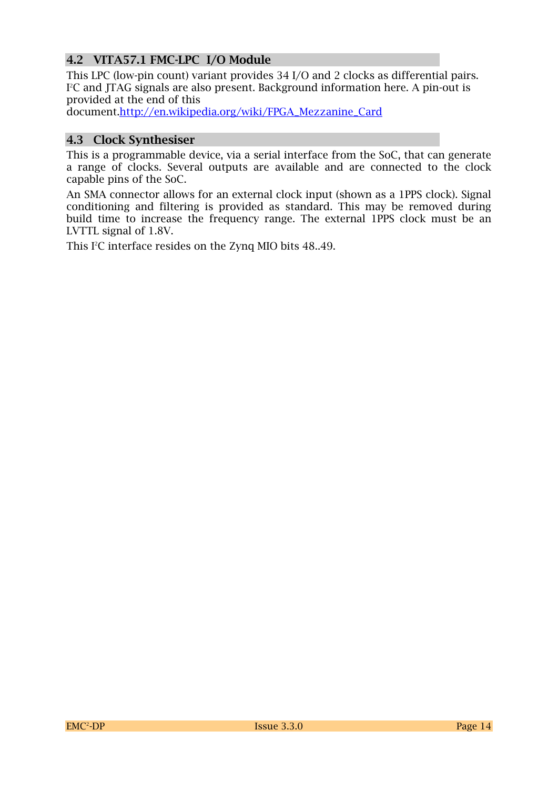#### **4.2 VITA57.1 FMC-LPC I/O Module**

This LPC (low-pin count) variant provides 34 I/O and 2 clocks as differential pairs. I <sup>2</sup>C and JTAG signals are also present. Background information here. A pin-out is provided at the end of this

document[.http://en.wikipedia.org/wiki/FPGA\\_Mezzanine\\_Card](http://en.wikipedia.org/wiki/FPGA_Mezzanine_Card)

#### **4.3 Clock Synthesiser**

This is a programmable device, via a serial interface from the SoC, that can generate a range of clocks. Several outputs are available and are connected to the clock capable pins of the SoC.

An SMA connector allows for an external clock input (shown as a 1PPS clock). Signal conditioning and filtering is provided as standard. This may be removed during build time to increase the frequency range. The external 1PPS clock must be an LVTTL signal of 1.8V.

This I<sup>2</sup>C interface resides on the Zynq MIO bits 48..49.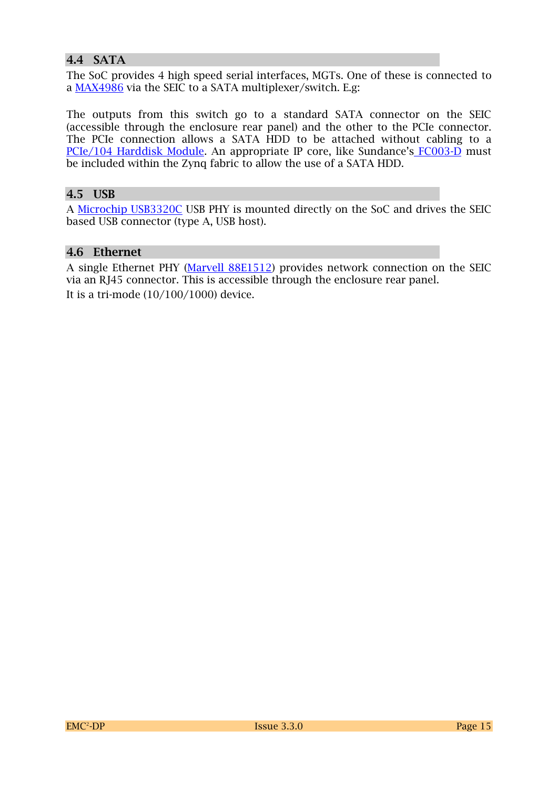#### **4.4 SATA**

The SoC provides 4 high speed serial interfaces, MGTs. One of these is connected to a [MAX4986](http://datasheets.maximintegrated.com/en/ds/MAX4986.pdf) via the SEIC to a SATA multiplexer/switch. E.g:

The outputs from this switch go to a standard SATA connector on the SEIC (accessible through the enclosure rear panel) and the other to the PCIe connector. The PCIe connection allows a SATA HDD to be attached without cabling to a [PCIe/104 Harddisk Module.](http://www.connecttech.com/sub/Products/SDG006-SSD-104-SATA-Drive-Carrier.asp?l1=solidstate&l2=SSD25) An appropriate IP core, like Sundance's [FC003-D](http://www.sundance.com/prod_info.php?board=FC003-D) must be included within the Zynq fabric to allow the use of a SATA HDD.

#### **4.5 USB**

A [Microchip USB3320C](http://www.microchip.com/wwwproducts/Devices.aspx?product=USB3320) USB PHY is mounted directly on the SoC and drives the SEIC based USB connector (type A, USB host).

#### **4.6 Ethernet**

A single Ethernet PHY [\(Marvell 88E1512\)](http://www.marvell.com/transceivers/alaska-gbe/) provides network connection on the SEIC via an RJ45 connector. This is accessible through the enclosure rear panel. It is a tri-mode (10/100/1000) device.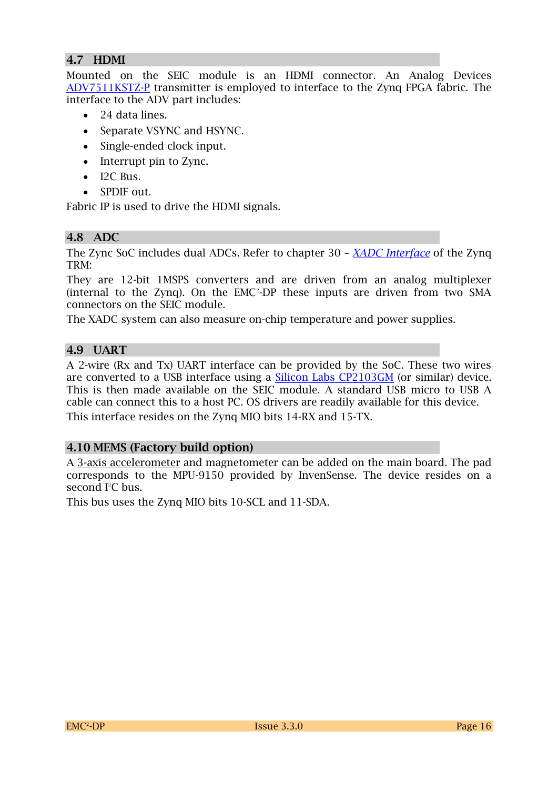#### **4.7 HDMI**

Mounted on the SEIC module is an HDMI connector. An Analog Devices [ADV7511KSTZ-P](http://www.analog.com/en/audiovideo-products/analoghdmidvi-interfaces/adv7511/products/product.html) transmitter is employed to interface to the Zynq FPGA fabric. The interface to the ADV part includes:

- 24 data lines.
- Separate VSYNC and HSYNC.
- Single-ended clock input.
- Interrupt pin to Zync.
- $\bullet$  I2C Bus.
- SPDIF out.

Fabric IP is used to drive the HDMI signals.

#### **4.8 ADC**

The Zync SoC includes dual ADCs. Refer to chapter 30 – *[XADC Interface](http://www.xilinx.com/support/documentation/user_guides/ug585-Zynq-7000-TRM.pdf)* of the Zynq TRM:

They are 12-bit 1MSPS converters and are driven from an analog multiplexer  $(internal to the Zynq)$ . On the  $EMC<sup>2</sup>-DP$  these inputs are driven from two SMA connectors on the SEIC module.

The XADC system can also measure on-chip temperature and power supplies.

#### **4.9 UART**

A 2-wire (Rx and Tx) UART interface can be provided by the SoC. These two wires are converted to a USB interface using a **Silicon Labs CP2103GM** (or similar) device. This is then made available on the SEIC module. A standard USB micro to USB A cable can connect this to a host PC. OS drivers are readily available for this device. This interface resides on the Zynq MIO bits 14-RX and 15-TX.

#### **4.10 MEMS (Factory build option)**

A [3-axis accelerometer](http://www.st.com/web/en/catalog/sense_power/FM89) and magnetometer can be added on the main board. The pad corresponds to the MPU-9150 provided by InvenSense. The device resides on a second  $I^2C$  bus.

This bus uses the Zynq MIO bits 10-SCL and 11-SDA.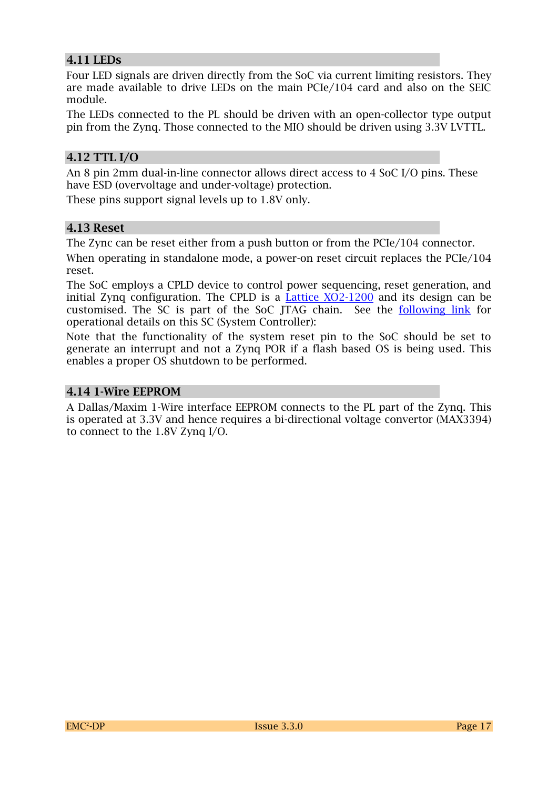#### **4.11 LEDs**

Four LED signals are driven directly from the SoC via current limiting resistors. They are made available to drive LEDs on the main PCIe/104 card and also on the SEIC module.

The LEDs connected to the PL should be driven with an open-collector type output pin from the Zynq. Those connected to the MIO should be driven using 3.3V LVTTL.

#### **4.12 TTL I/O**

An 8 pin 2mm dual-in-line connector allows direct access to 4 SoC I/O pins. These have ESD (overvoltage and under-voltage) protection.

These pins support signal levels up to 1.8V only.

#### **4.13 Reset**

The Zync can be reset either from a push button or from the PCIe/104 connector.

When operating in standalone mode, a power-on reset circuit replaces the PCIe/104 reset.

The SoC employs a CPLD device to control power sequencing, reset generation, and initial Zynq configuration. The CPLD is a [Lattice XO2-1200](http://www.latticesemi.com/~/media/Documents/ApplicationNotes/MO/MachXO2sysCLOCKPLLDesignandUsageGuide.pdf?document_id=39080) and its design can be customised. The SC is part of the SoC JTAG chain. See the [following link](https://wiki.trenz-electronic.de/pages/viewpage.action?pageId=3834226) for operational details on this SC (System Controller):

Note that the functionality of the system reset pin to the SoC should be set to generate an interrupt and not a Zynq POR if a flash based OS is being used. This enables a proper OS shutdown to be performed.

#### **4.14 1-Wire EEPROM**

A Dallas/Maxim 1-Wire interface EEPROM connects to the PL part of the Zynq. This is operated at 3.3V and hence requires a bi-directional voltage convertor (MAX3394) to connect to the 1.8V Zynq I/O.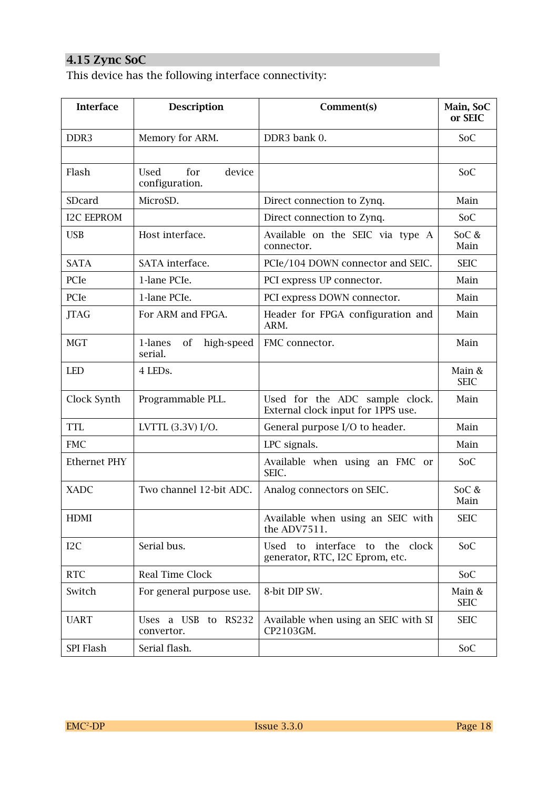### **4.15 Zync SoC**

This device has the following interface connectivity:

| <b>Interface</b>    | <b>Description</b>                      | Comment(s)                                                           | Main, SoC<br>or SEIC  |
|---------------------|-----------------------------------------|----------------------------------------------------------------------|-----------------------|
| DDR <sub>3</sub>    | Memory for ARM.                         | DDR3 bank 0.                                                         | SoC                   |
|                     |                                         |                                                                      |                       |
| Flash               | device<br>for<br>Used<br>configuration. |                                                                      | SoC                   |
| SDcard              | MicroSD.                                | Direct connection to Zynq.                                           | Main                  |
| <b>I2C EEPROM</b>   |                                         | Direct connection to Zynq.                                           | SoC                   |
| <b>USB</b>          | Host interface.                         | Available on the SEIC via type A<br>connector.                       | SoC &<br>Main         |
| <b>SATA</b>         | SATA interface.                         | PCIe/104 DOWN connector and SEIC.                                    | <b>SEIC</b>           |
| PCIe                | 1-lane PCIe.                            | PCI express UP connector.                                            | Main                  |
| PCIe                | 1-lane PCIe.                            | PCI express DOWN connector.                                          | Main                  |
| <b>JTAG</b>         | For ARM and FPGA.                       | Header for FPGA configuration and<br>ARM.                            | Main                  |
| <b>MGT</b>          | 1-lanes<br>high-speed<br>of<br>serial.  | FMC connector.                                                       | Main                  |
| <b>LED</b>          | 4 LEDS.                                 |                                                                      | Main &<br><b>SEIC</b> |
| Clock Synth         | Programmable PLL.                       | Used for the ADC sample clock.<br>External clock input for 1PPS use. | Main                  |
| <b>TTL</b>          | LVTTL (3.3V) I/O.                       | General purpose I/O to header.                                       | Main                  |
| <b>FMC</b>          |                                         | LPC signals.                                                         | Main                  |
| <b>Ethernet PHY</b> |                                         | Available when using an FMC or<br>SEIC.                              | SoC                   |
| <b>XADC</b>         | Two channel 12-bit ADC.                 | Analog connectors on SEIC.                                           | SoC &<br>Main         |
| <b>HDMI</b>         |                                         | Available when using an SEIC with<br>the ADV7511.                    | <b>SEIC</b>           |
| I <sub>2</sub> C    | Serial bus.                             | Used to interface to the clock<br>generator, RTC, I2C Eprom, etc.    | SoC                   |
| <b>RTC</b>          | Real Time Clock                         |                                                                      | SoC                   |
| Switch              | For general purpose use.                | 8-bit DIP SW.                                                        | Main &<br><b>SEIC</b> |
| <b>UART</b>         | Uses a USB to RS232<br>convertor.       | Available when using an SEIC with SI<br>CP2103GM.                    | <b>SEIC</b>           |
| SPI Flash           | Serial flash.                           |                                                                      | SoC                   |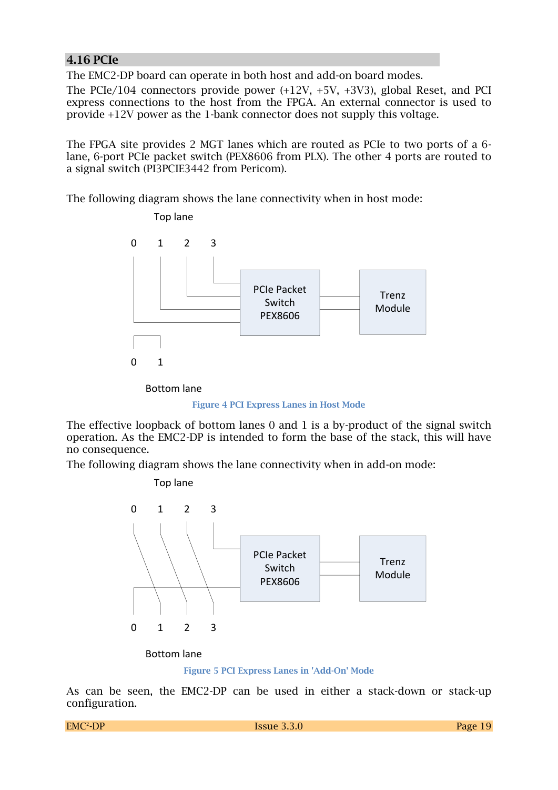#### **4.16 PCIe**

The EMC2-DP board can operate in both host and add-on board modes.

The PCIe/104 connectors provide power (+12V, +5V, +3V3), global Reset, and PCI express connections to the host from the FPGA. An external connector is used to provide +12V power as the 1-bank connector does not supply this voltage.

The FPGA site provides 2 MGT lanes which are routed as PCIe to two ports of a 6 lane, 6-port PCIe packet switch (PEX8606 from PLX). The other 4 ports are routed to a signal switch (PI3PCIE3442 from Pericom).

The following diagram shows the lane connectivity when in host mode:



**Figure 4 PCI Express Lanes in Host Mode**

The effective loopback of bottom lanes 0 and 1 is a by-product of the signal switch operation. As the EMC2-DP is intended to form the base of the stack, this will have no consequence.

The following diagram shows the lane connectivity when in add-on mode:



**Figure 5 PCI Express Lanes in 'Add-On' Mode**

As can be seen, the EMC2-DP can be used in either a stack-down or stack-up configuration.

```
EMC<sup>2</sup>-DP
```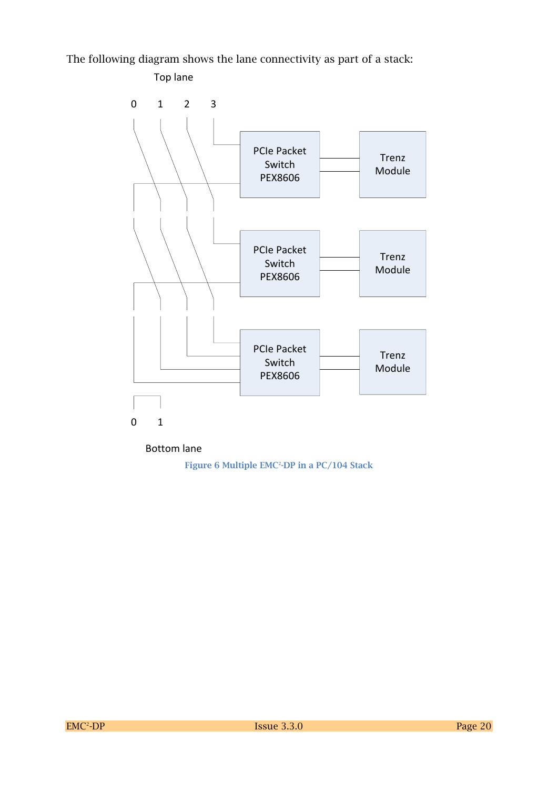The following diagram shows the lane connectivity as part of a stack:



Bottom lane

**Figure 6 Multiple EMC<sup>2</sup> -DP in a PC/104 Stack**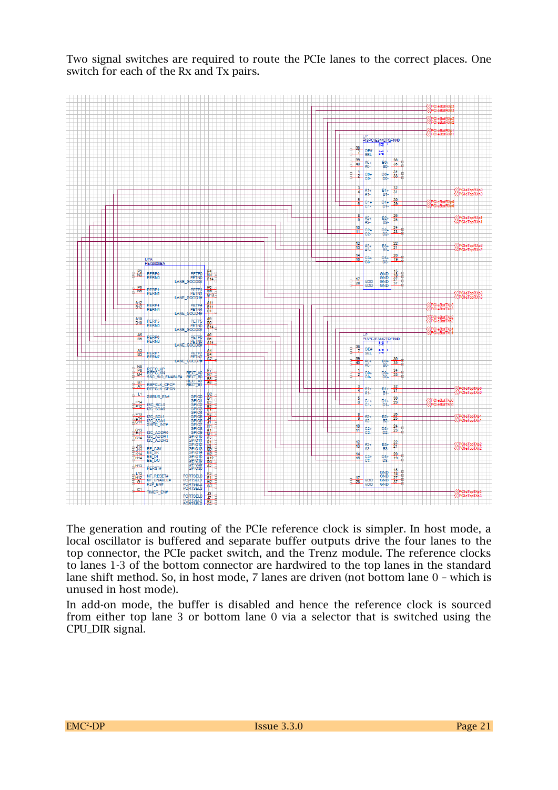Two signal switches are required to route the PCIe lanes to the correct places. One switch for each of the Rx and Tx pairs.



The generation and routing of the PCIe reference clock is simpler. In host mode, a local oscillator is buffered and separate buffer outputs drive the four lanes to the top connector, the PCIe packet switch, and the Trenz module. The reference clocks to lanes 1-3 of the bottom connector are hardwired to the top lanes in the standard lane shift method. So, in host mode, 7 lanes are driven (not bottom lane 0 – which is unused in host mode).

In add-on mode, the buffer is disabled and hence the reference clock is sourced from either top lane 3 or bottom lane 0 via a selector that is switched using the CPU\_DIR signal.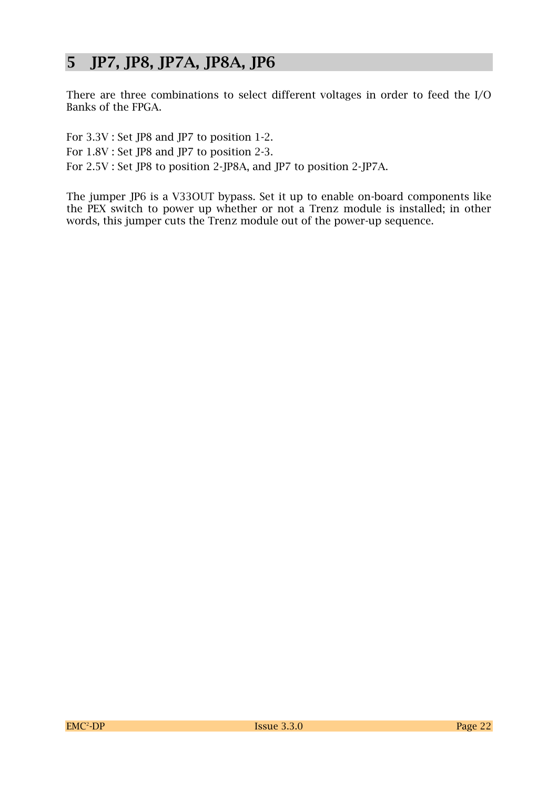# **5 JP7, JP8, JP7A, JP8A, JP6**

There are three combinations to select different voltages in order to feed the I/O Banks of the FPGA.

For 3.3V : Set JP8 and JP7 to position 1-2. For 1.8V : Set JP8 and JP7 to position 2-3. For 2.5V : Set JP8 to position 2-JP8A, and JP7 to position 2-JP7A.

The jumper JP6 is a V33OUT bypass. Set it up to enable on-board components like the PEX switch to power up whether or not a Trenz module is installed; in other words, this jumper cuts the Trenz module out of the power-up sequence.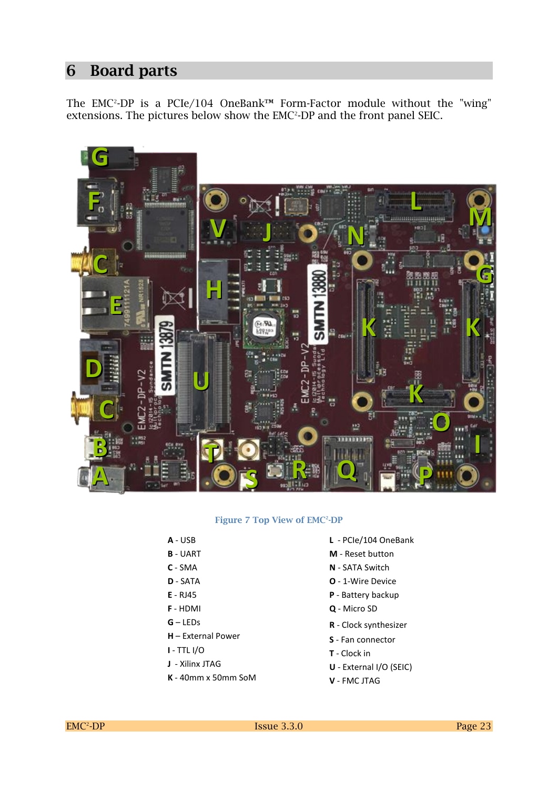### **6 Board parts**

The EMC<sup>2</sup>-DP is a PCIe/104 OneBank™ Form-Factor module without the "wing" extensions. The pictures below show the EMC<sup>2</sup>-DP and the front panel SEIC.



#### **Figure 7 Top View of EMC<sup>2</sup> -DP**

- **A** USB
- **B** UART
- **C** SMA
- **D** SATA
- **E** RJ45
- **F** HDMI
- **G** LEDs
- **H** External Power
- **I**  TTL I/O
- **J** Xilinx JTAG
- **K** 40mm x 50mm SoM
- **L** PCIe/104 OneBank
- **M** Reset button
- **N** SATA Switch
- **O** 1-Wire Device
- **P** Battery backup
- **Q**  Micro SD
- **R** Clock synthesizer
- **S** Fan connector
- **T** Clock in
- **U** External I/O (SEIC)
- **V** FMC JTAG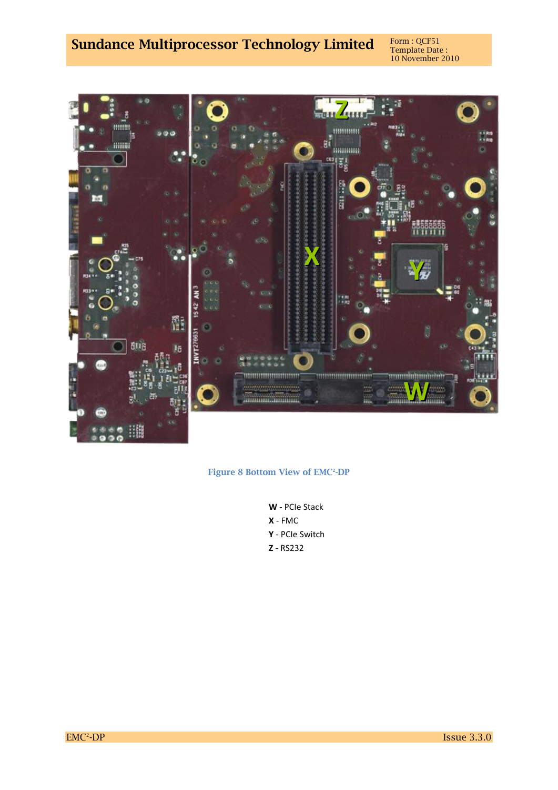# **Sundance Multiprocessor Technology Limited**

Template Date : 10 November 2010



#### **Figure 8 Bottom View of EMC<sup>2</sup> -DP**

**W** - PCIe Stack **X** - FMC **Y** - PCIe Switch **Z** - RS232

EMC<sup>2</sup>-DP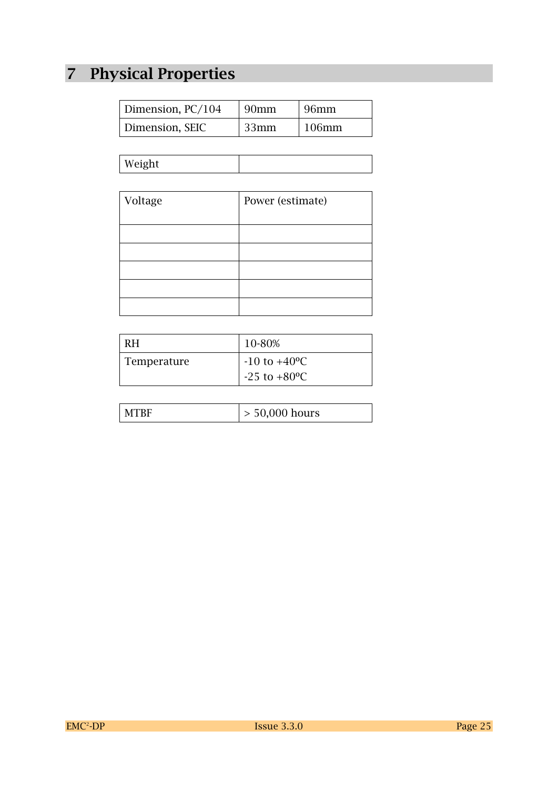# **7 Physical Properties**

| Dimension, PC/104 | 90 <sub>mm</sub> | 96mm     |
|-------------------|------------------|----------|
| Dimension, SEIC   | 33mm             | $106$ mm |

| $W$ $\alpha$ ight<br>$\cdots$ |  |
|-------------------------------|--|
|                               |  |

| Voltage | Power (estimate) |
|---------|------------------|
|         |                  |
|         |                  |
|         |                  |
|         |                  |
|         |                  |

| RH.         | 10-80%                                                    |
|-------------|-----------------------------------------------------------|
| Temperature | $-10$ to $+40$ <sup>o</sup> C<br>$-25$ to $+80^{\circ}$ C |

| $> 50,000$ hours |
|------------------|
|------------------|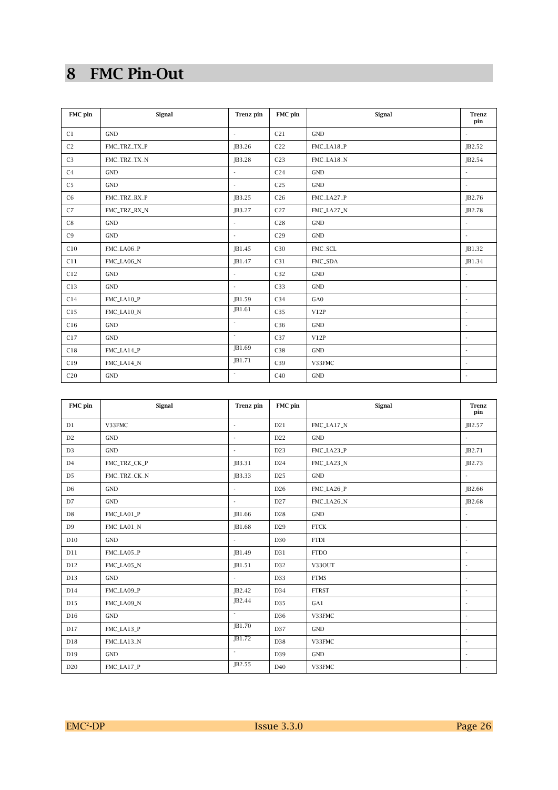# **8 FMC Pin-Out**

| FMC pin        | Signal               | Trenz pin                | FMC pin         | Signal               | <b>Trenz</b><br>pin      |
|----------------|----------------------|--------------------------|-----------------|----------------------|--------------------------|
| C1             | <b>GND</b>           | $\overline{\phantom{a}}$ | C21             | <b>GND</b>           | $\overline{a}$           |
| C <sub>2</sub> | FMC_TRZ_TX_P         | JB3.26                   | C <sub>22</sub> | FMC_LA18_P           | JB2.52                   |
| C <sub>3</sub> | FMC_TRZ_TX_N         | JB3.28                   | C <sub>23</sub> | FMC_LA18_N           | JB2.54                   |
| C <sub>4</sub> | <b>GND</b>           | ÷                        | C <sub>24</sub> | <b>GND</b>           | $\overline{\phantom{a}}$ |
| C <sub>5</sub> | <b>GND</b>           | ÷                        | C <sub>25</sub> | $\operatorname{GND}$ | $\overline{\phantom{a}}$ |
| C6             | FMC_TRZ_RX_P         | JB3.25                   | C <sub>26</sub> | FMC_LA27_P           | JB2.76                   |
| C7             | FMC_TRZ_RX_N         | JB3.27                   | C27             | FMC_LA27_N           | JB2.78                   |
| C8             | <b>GND</b>           | ÷                        | C28             | $\operatorname{GND}$ | $\overline{\phantom{a}}$ |
| C <sub>9</sub> | $\operatorname{GND}$ | ÷                        | C29             | <b>GND</b>           | $\sim$                   |
| C10            | FMC_LA06_P           | JB1.45                   | C30             | FMC_SCL              | JB1.32                   |
| C11            | FMC_LA06_N           | JB1.47                   | C31             | FMC_SDA              | JB1.34                   |
| C12            | <b>GND</b>           | $\overline{\phantom{a}}$ | C32             | <b>GND</b>           |                          |
| C13            | GND                  | $\overline{a}$           | C33             | <b>GND</b>           | ÷                        |
| C14            | FMC_LA10_P           | JB1.59                   | C34             | GA0                  | $\overline{\phantom{a}}$ |
| C15            | FMC_LA10_N           | JB1.61                   | C35             | V12P                 | ÷,                       |
| C16            | <b>GND</b>           | $\sim$                   | C36             | <b>GND</b>           | $\overline{a}$           |
| C17            | <b>GND</b>           | $\sim$                   | C37             | V12P                 | $\sim$                   |
| C18            | FMC_LA14_P           | JB1.69                   | C38             | <b>GND</b>           | $\overline{\phantom{a}}$ |
| C19            | FMC_LA14_N           | JB1.71                   | C39             | V33FMC               | ÷,                       |
| C20            | <b>GND</b>           | $\sim$                   | C40             | <b>GND</b>           | ٠                        |

| FMC pin        | Signal               | Trenz pin                | FMC pin         | Signal       | <b>Trenz</b><br>pin      |
|----------------|----------------------|--------------------------|-----------------|--------------|--------------------------|
| D1             | V33FMC               | $\overline{\phantom{a}}$ | D21             | FMC_LA17_N   | JB2.57                   |
| D2             | <b>GND</b>           | $\overline{a}$           | D22             | <b>GND</b>   | ÷,                       |
| D <sub>3</sub> | <b>GND</b>           | ÷                        | D <sub>23</sub> | FMC_LA23_P   | JB2.71                   |
| D4             | FMC_TRZ_CK_P         | JB3.31                   | D <sub>24</sub> | FMC_LA23_N   | JB2.73                   |
| D <sub>5</sub> | FMC_TRZ_CK_N         | JB3.33                   | D25             | <b>GND</b>   | $\overline{a}$           |
| D6             | <b>GND</b>           | ÷                        | D <sub>26</sub> | FMC_LA26_P   | JB2.66                   |
| $\rm D7$       | $\operatorname{GND}$ | ÷                        | D <sub>27</sub> | FMC_LA26_N   | JB2.68                   |
| $\rm D8$       | FMC_LA01_P           | JB1.66                   | D <sub>28</sub> | <b>GND</b>   | $\overline{\phantom{a}}$ |
| D <sub>9</sub> | FMC_LA01_N           | JB1.68                   | D <sub>29</sub> | <b>FTCK</b>  | $\overline{\phantom{a}}$ |
| D10            | <b>GND</b>           | $\overline{\phantom{a}}$ | D30             | <b>FTDI</b>  | $\overline{\phantom{a}}$ |
| D11            | FMC_LA05_P           | JB1.49                   | D31             | <b>FTDO</b>  | $\overline{a}$           |
| D12            | FMC_LA05_N           | JB1.51                   | D32             | V33OUT       | $\overline{\phantom{a}}$ |
| D13            | <b>GND</b>           | $\overline{\phantom{a}}$ | D33             | <b>FTMS</b>  | $\overline{\phantom{a}}$ |
| D14            | FMC_LA09_P           | JB2.42                   | D34             | <b>FTRST</b> | $\overline{\phantom{a}}$ |
| D15            | FMC_LA09_N           | JB2.44                   | D35             | GA1          | ٠                        |
| D16            | GND                  | ÷                        | D36             | V33FMC       | $\overline{\phantom{a}}$ |
| D17            | FMC_LA13_P           | JB1.70                   | D37             | <b>GND</b>   | $\sim$                   |
| D18            | FMC_LA13_N           | JB1.72                   | D38             | V33FMC       | $\overline{a}$           |
| D19            | GND                  | $\overline{\phantom{a}}$ | D39             | <b>GND</b>   | ٠                        |
| D20            | FMC_LA17_P           | JB2.55                   | D40             | V33FMC       | $\overline{\phantom{a}}$ |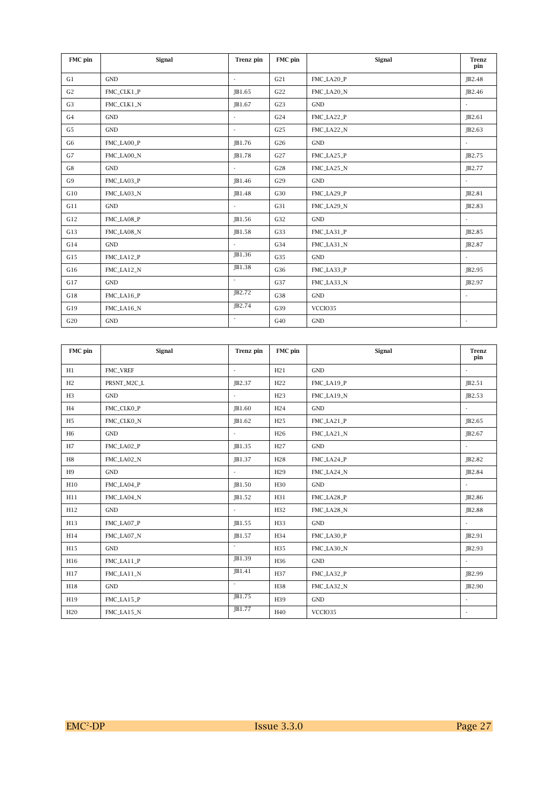| FMC pin        | Signal     | Trenz pin                   | FMC pin         | Signal               | <b>Trenz</b><br>pin      |
|----------------|------------|-----------------------------|-----------------|----------------------|--------------------------|
| G1             | <b>GND</b> | $\sim$                      | G21             | FMC_LA20_P           | JB2.48                   |
| G <sub>2</sub> | FMC_CLK1_P | JB1.65                      | G <sub>22</sub> | FMC_LA20_N           | JB2.46                   |
| G <sub>3</sub> | FMC_CLK1_N | JB1.67                      | G <sub>23</sub> | <b>GND</b>           | $\overline{\phantom{a}}$ |
| G4             | <b>GND</b> | $\overline{\phantom{a}}$    | G24             | FMC_LA22_P           | JB2.61                   |
| G <sub>5</sub> | <b>GND</b> | $\overline{\phantom{a}}$    | G25             | FMC_LA22_N           | JB2.63                   |
| G <sub>6</sub> | FMC LA00 P | JB1.76                      | G26             | <b>GND</b>           | ×.                       |
| G7             | FMC_LA00_N | JB1.78                      | G27             | FMC_LA25_P           | JB2.75                   |
| G8             | <b>GND</b> |                             | G28             | FMC_LA25_N           | JB2.77                   |
| G9             | FMC_LA03_P | JB1.46                      | G29             | <b>GND</b>           |                          |
| G10            | FMC_LA03_N | JB1.48                      | G30             | FMC_LA29_P           | JB2.81                   |
| G11            | <b>GND</b> | $\sim$                      | G31             | FMC_LA29_N           | JB2.83                   |
| G12            | FMC_LA08_P | JB1.56                      | G32             | GND                  | $\sim$                   |
| G13            | FMC_LA08_N | JB1.58                      | G33             | FMC_LA31_P           | JB2.85                   |
| G14            | <b>GND</b> | $\overline{a}$              | G34             | FMC_LA31_N           | JB2.87                   |
| G15            | FMC_LA12_P | JB1.36                      | G35             | $\operatorname{GND}$ | $\sim$                   |
| G16            | FMC_LA12_N | JB1.38                      | G36             | FMC_LA33_P           | JB2.95                   |
| G17            | <b>GND</b> | $\mathcal{L}^{\pm}$         | G37             | FMC_LA33_N           | JB2.97                   |
| G18            | FMC_LA16_P | $\overline{\text{JB2}}$ .72 | G38             | <b>GND</b>           | $\overline{\phantom{a}}$ |
| G19            | FMC_LA16_N | JB2.74                      | G39             | VCCIO35              |                          |
| G20            | <b>GND</b> | ÷                           | G40             | <b>GND</b>           | $\sim$                   |

| FMC pin         | Signal      | Trenz pin                | FMC pin         | Signal     | <b>Trenz</b><br>pin      |
|-----------------|-------------|--------------------------|-----------------|------------|--------------------------|
| H1              | FMC_VREF    | $\sim$                   | H21             | <b>GND</b> | $\overline{\phantom{a}}$ |
| H2              | PRSNT_M2C_L | JB2.37                   | H <sub>22</sub> | FMC_LA19_P | JB2.51                   |
| H3              | <b>GND</b>  | $\overline{a}$           | H23             | FMC LA19 N | JB2.53                   |
| H <sub>4</sub>  | FMC_CLK0_P  | JB1.60                   | H <sub>24</sub> | <b>GND</b> | $\overline{\phantom{a}}$ |
| H <sub>5</sub>  | FMC_CLK0_N  | JB1.62                   | H25             | FMC_LA21_P | JB2.65                   |
| H <sub>6</sub>  | <b>GND</b>  | $\overline{a}$           | H <sub>26</sub> | FMC_LA21_N | JB2.67                   |
| H7              | FMC_LA02_P  | JB1.35                   | H <sub>27</sub> | <b>GND</b> | $\overline{\phantom{a}}$ |
| H8              | FMC_LA02_N  | JB1.37                   | H <sub>28</sub> | FMC_LA24_P | JB2.82                   |
| H9              | <b>GND</b>  | $\overline{a}$           | H <sub>29</sub> | FMC_LA24_N | JB2.84                   |
| H10             | FMC_LA04_P  | JB1.50                   | H <sub>30</sub> | <b>GND</b> | $\sim$                   |
| H11             | FMC_LA04_N  | JB1.52                   | H31             | FMC_LA28_P | JB2.86                   |
| H12             | <b>GND</b>  | $\sim$                   | H <sub>32</sub> | FMC_LA28_N | JB2.88                   |
| H13             | FMC_LA07_P  | JB1.55                   | H33             | <b>GND</b> | $\overline{\phantom{a}}$ |
| H14             | FMC_LA07_N  | JB1.57                   | H34             | FMC LA30 P | JB2.91                   |
| H15             | <b>GND</b>  | $\overline{\phantom{a}}$ | H35             | FMC_LA30_N | JB2.93                   |
| H16             | FMC_LA11_P  | JB1.39                   | H36             | GND        | $\sim$                   |
| H17             | FMC_LA11_N  | JB1.41                   | H37             | FMC_LA32_P | JB2.99                   |
| H18             | <b>GND</b>  | $\sim$                   | H38             | FMC_LA32_N | JB2.90                   |
| H19             | FMC_LA15_P  | JB1.75                   | H39             | <b>GND</b> | ÷                        |
| H <sub>20</sub> | FMC_LA15_N  | JB1.77                   | H <sub>40</sub> | VCCIO35    | $\sim$                   |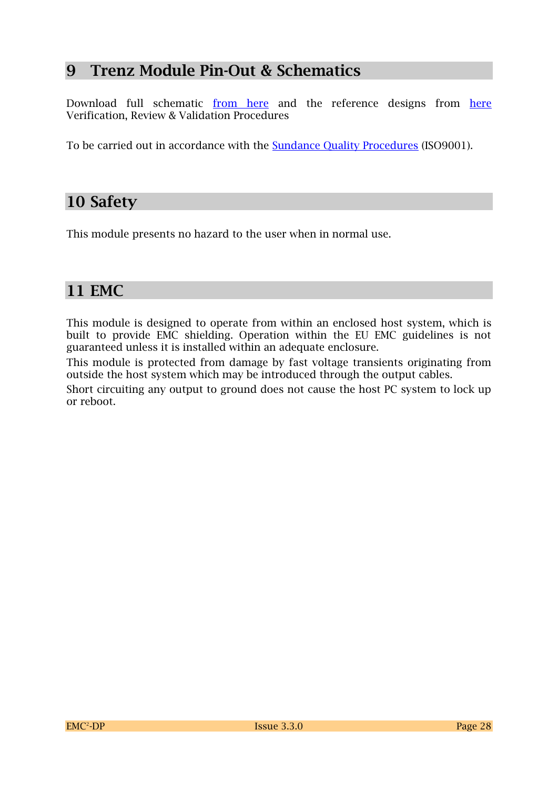## **9 Trenz Module Pin-Out & Schematics**

Download full schematic [from here](http://www.trenz-electronic.de/de/download/d0/Trenz_Electronic/d1/TE0715/d2/documents.html) and the reference designs from here Verification, Review & Validation Procedures

To be carried out in accordance with the **Sundance Quality Procedures** (ISO9001).

## **10 Safety**

This module presents no hazard to the user when in normal use.

## **11 EMC**

This module is designed to operate from within an enclosed host system, which is built to provide EMC shielding. Operation within the EU EMC guidelines is not guaranteed unless it is installed within an adequate enclosure.

This module is protected from damage by fast voltage transients originating from outside the host system which may be introduced through the output cables.

Short circuiting any output to ground does not cause the host PC system to lock up or reboot.